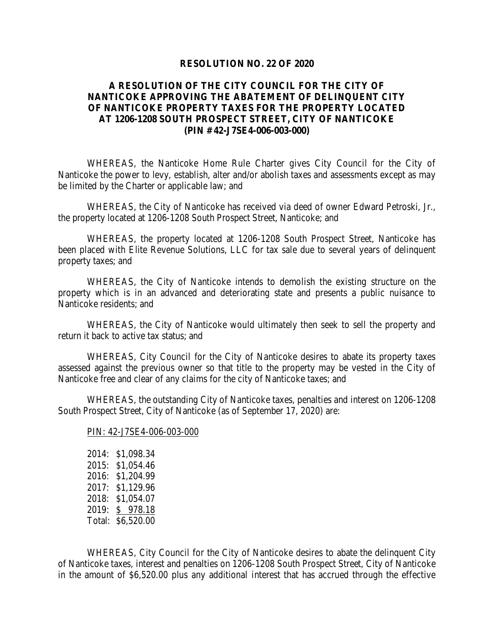## **RESOLUTION NO. 22 OF 2020**

## **A RESOLUTION OF THE CITY COUNCIL FOR THE CITY OF NANTICOKE APPROVING THE ABATEMENT OF DELINQUENT CITY OF NANTICOKE PROPERTY TAXES FOR THE PROPERTY LOCATED AT 1206-1208 SOUTH PROSPECT STREET, CITY OF NANTICOKE (PIN # 42-J7SE4-006-003-000)**

WHEREAS, the Nanticoke Home Rule Charter gives City Council for the City of Nanticoke the power to levy, establish, alter and/or abolish taxes and assessments except as may be limited by the Charter or applicable law; and

WHEREAS, the City of Nanticoke has received via deed of owner Edward Petroski, Jr., the property located at 1206-1208 South Prospect Street, Nanticoke; and

WHEREAS, the property located at 1206-1208 South Prospect Street, Nanticoke has been placed with Elite Revenue Solutions, LLC for tax sale due to several years of delinquent property taxes; and

WHEREAS, the City of Nanticoke intends to demolish the existing structure on the property which is in an advanced and deteriorating state and presents a public nuisance to Nanticoke residents; and

WHEREAS, the City of Nanticoke would ultimately then seek to sell the property and return it back to active tax status; and

WHEREAS, City Council for the City of Nanticoke desires to abate its property taxes assessed against the previous owner so that title to the property may be vested in the City of Nanticoke free and clear of any claims for the city of Nanticoke taxes; and

WHEREAS, the outstanding City of Nanticoke taxes, penalties and interest on 1206-1208 South Prospect Street, City of Nanticoke (as of September 17, 2020) are:

## PIN: 42-J7SE4-006-003-000

2014: \$1,098.34 2015: \$1,054.46 2016: \$1,204.99 2017: \$1,129.96 2018: \$1,054.07 2019: \$ 978.18 Total: \$6,520.00

WHEREAS, City Council for the City of Nanticoke desires to abate the delinquent City of Nanticoke taxes, interest and penalties on 1206-1208 South Prospect Street, City of Nanticoke in the amount of \$6,520.00 plus any additional interest that has accrued through the effective